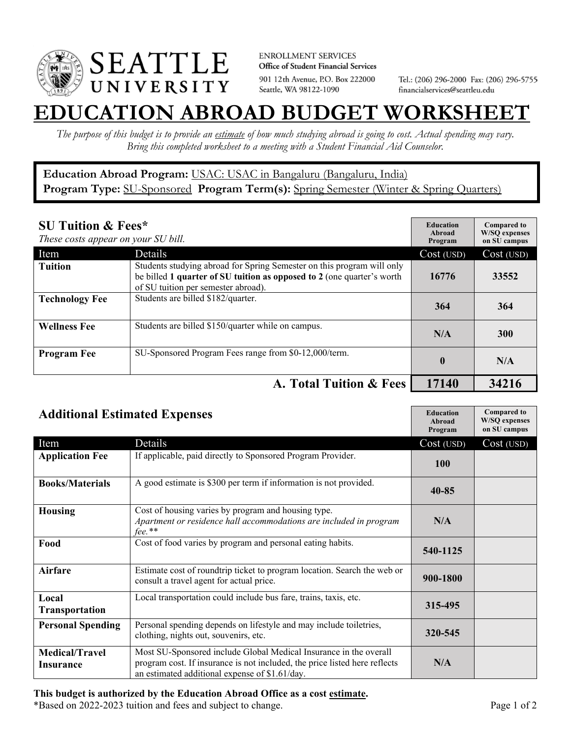

**ENROLLMENT SERVICES** Office of Student Financial Services 901 12th Avenue, P.O. Box 222000 Seattle, WA 98122-1090

Tel.: (206) 296-2000 Fax: (206) 296-5755 financialservices@seattleu.edu

## **EATION ABROAD BUDGET WORKSHEE**

*The purpose of this budget is to provide an estimate of how much studying abroad is going to cost. Actual spending may vary. Bring this completed worksheet to a meeting with a Student Financial Aid Counselor.* 

## **Education Abroad Program:** USAC: USAC in Bangaluru (Bangaluru, India) Program Type: **SU-Sponsored** Program Term(s): **Spring Semester** (Winter & Spring Quarters)

| <b>SU Tuition &amp; Fees*</b><br>These costs appear on your SU bill. |                                                                                                                                                                                         | <b>Education</b><br>Abroad<br>Program | <b>Compared to</b><br><b>W/SO</b> expenses<br>on SU campus |
|----------------------------------------------------------------------|-----------------------------------------------------------------------------------------------------------------------------------------------------------------------------------------|---------------------------------------|------------------------------------------------------------|
| Item                                                                 | Details                                                                                                                                                                                 | Cost (USD)                            | Cost (USD)                                                 |
| <b>Tuition</b>                                                       | Students studying abroad for Spring Semester on this program will only<br>be billed 1 quarter of SU tuition as opposed to 2 (one quarter's worth<br>of SU tuition per semester abroad). | 16776                                 | 33552                                                      |
| <b>Technology Fee</b>                                                | Students are billed \$182/quarter.                                                                                                                                                      | 364                                   | 364                                                        |
| <b>Wellness Fee</b>                                                  | Students are billed \$150/quarter while on campus.                                                                                                                                      | N/A                                   | <b>300</b>                                                 |
| <b>Program Fee</b>                                                   | SU-Sponsored Program Fees range from \$0-12,000/term.                                                                                                                                   | $\mathbf{0}$                          | N/A                                                        |
|                                                                      | A. Total Tuition & Fees                                                                                                                                                                 | 17140                                 | 34216                                                      |

| <b>Additional Estimated Expenses</b> |                                                                                                                                                                                                   | <b>Education</b><br>Abroad<br>Program | <b>Compared to</b><br><b>W/SQ</b> expenses<br>on SU campus |
|--------------------------------------|---------------------------------------------------------------------------------------------------------------------------------------------------------------------------------------------------|---------------------------------------|------------------------------------------------------------|
| Item                                 | Details                                                                                                                                                                                           | Cost (USD)                            | $Cost(\overline{USD})$                                     |
| <b>Application Fee</b>               | If applicable, paid directly to Sponsored Program Provider.                                                                                                                                       | <b>100</b>                            |                                                            |
| <b>Books/Materials</b>               | A good estimate is \$300 per term if information is not provided.                                                                                                                                 | $40 - 85$                             |                                                            |
| <b>Housing</b>                       | Cost of housing varies by program and housing type.<br>Apartment or residence hall accommodations are included in program<br>$fee.**$                                                             | N/A                                   |                                                            |
| Food                                 | Cost of food varies by program and personal eating habits.                                                                                                                                        | 540-1125                              |                                                            |
| <b>Airfare</b>                       | Estimate cost of roundtrip ticket to program location. Search the web or<br>consult a travel agent for actual price.                                                                              | 900-1800                              |                                                            |
| Local<br><b>Transportation</b>       | Local transportation could include bus fare, trains, taxis, etc.                                                                                                                                  | 315-495                               |                                                            |
| <b>Personal Spending</b>             | Personal spending depends on lifestyle and may include toiletries,<br>clothing, nights out, souvenirs, etc.                                                                                       | 320-545                               |                                                            |
| <b>Medical/Travel</b><br>Insurance   | Most SU-Sponsored include Global Medical Insurance in the overall<br>program cost. If insurance is not included, the price listed here reflects<br>an estimated additional expense of \$1.61/day. | N/A                                   |                                                            |

## **This budget is authorized by the Education Abroad Office as a cost estimate.**

\*Based on 2022-2023 tuition and fees and subject to change. Page 1 of 2